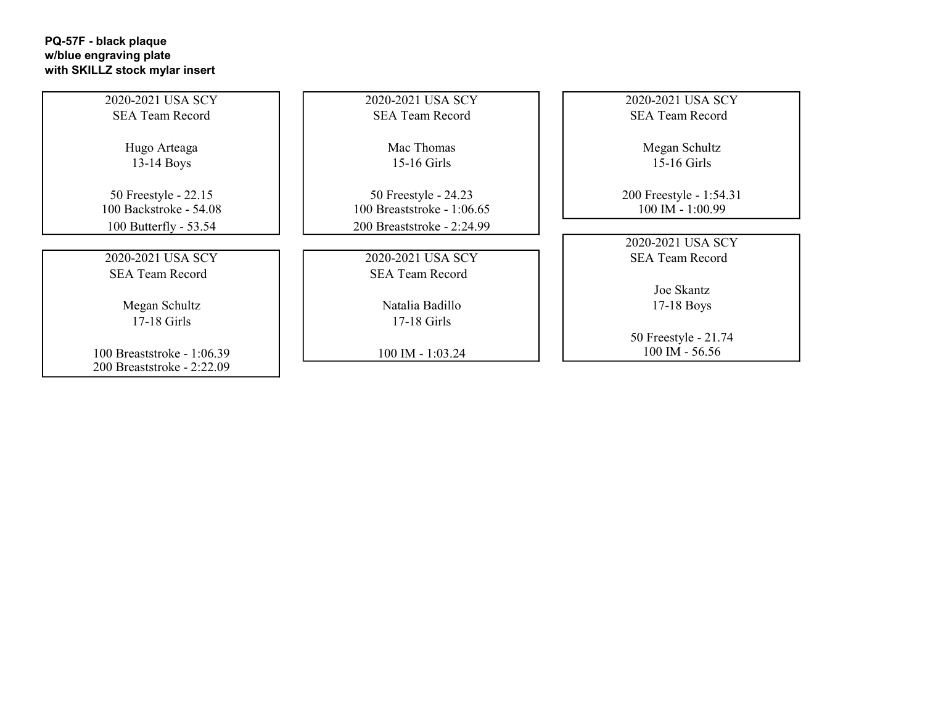## PQ-57F - black plaque w/blue engraving plate with SKILLZ stock mylar insert

| 2020-2021 USA SCY          | 2020-2021 USA SCY          | 2020-2021 USA SCY       |
|----------------------------|----------------------------|-------------------------|
| <b>SEA Team Record</b>     | <b>SEA Team Record</b>     | <b>SEA Team Record</b>  |
|                            |                            |                         |
| Hugo Arteaga               | Mac Thomas                 | Megan Schultz           |
| $13-14$ Boys               | 15-16 Girls                | $15-16$ Girls           |
|                            |                            |                         |
| 50 Freestyle - 22.15       | 50 Freestyle - 24.23       | 200 Freestyle - 1:54.31 |
| 100 Backstroke - 54.08     | 100 Breaststroke - 1:06.65 | $100$ IM - $1:00.99$    |
| 100 Butterfly - 53.54      | 200 Breaststroke - 2:24.99 |                         |
|                            |                            | 2020-2021 USA SCY       |
| 2020-2021 USA SCY          | 2020-2021 USA SCY          | <b>SEA Team Record</b>  |
| <b>SEA Team Record</b>     | <b>SEA Team Record</b>     |                         |
|                            |                            | Joe Skantz              |
| Megan Schultz              | Natalia Badillo            | $17-18$ Boys            |
| $17-18$ Girls              | $17-18$ Girls              |                         |
|                            |                            | 50 Freestyle - 21.74    |
| 100 Breaststroke - 1:06.39 | $100$ IM - 1:03.24         | $100$ IM - 56.56        |
| 200 Breaststroke - 2:22.09 |                            |                         |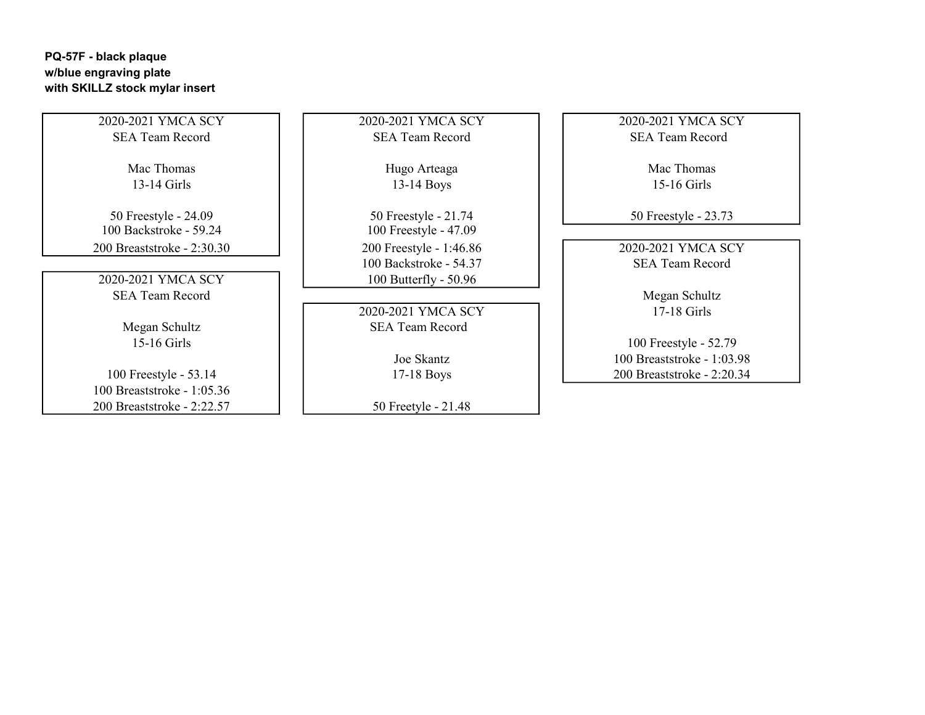## PQ-57F - black plaque w/blue engraving plate with SKILLZ stock mylar insert

2020-2021 YMCA SCY 2020-2021 YMCA SCY 2020-2021 YMCA SCY SEA Team Record SEA Team Record SEA Team Record

100 Backstroke - 59.24 100 Freestyle - 47.09 200 Breaststroke - 2:30.30 200 Freestyle - 1:46.86 2020-2021 YMCA SCY

SEA Team Record Megan Schultz

100 Breaststroke - 1:05.36 200 Breaststroke - 2:22.57  $\vert$  | 50 Freetyle - 21.48

13-14 Girls 13-14 Boys 15-16 Girls 15-16 Girls

50 Freestyle - 24.09 50 Freestyle - 21.74 50 Freestyle - 23.73 100 Backstroke - 54.37 SEA Team Record 2020-2021 YMCA SCY 100 Butterfly - 50.96

2020-2021 YMCA SCY 17-18 Girls Megan Schultz **SEA Team Record** 

Mac Thomas  $\left| \begin{array}{ccc} \end{array} \right|$  Hugo Arteaga  $\left| \begin{array}{ccc} \end{array} \right|$  Mac Thomas

15-16 Girls 100 Freestyle - 52.79 Joe Skantz 100 Breaststroke - 1:03.98 100 Freestyle - 53.14 17-18 Boys 200 Breaststroke - 2:20.34